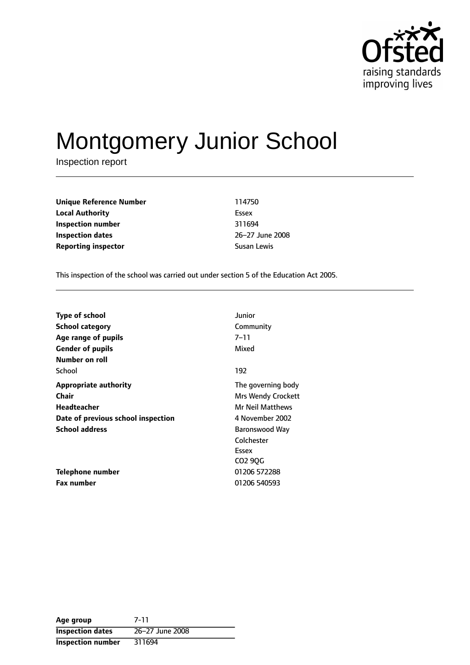

# Montgomery Junior School

Inspection report

**Unique Reference Number** 114750 **Local Authority** Essex **Inspection number** 311694 **Inspection dates** 26-27 June 2008 **Reporting inspector Susan Lewis** Susan Lewis

This inspection of the school was carried out under section 5 of the Education Act 2005.

| <b>Type of school</b>              | Junior                    |
|------------------------------------|---------------------------|
| <b>School category</b>             | Community                 |
| Age range of pupils                | $7 - 11$                  |
| <b>Gender of pupils</b>            | Mixed                     |
| Number on roll                     |                           |
| School                             | 192                       |
| <b>Appropriate authority</b>       | The governing body        |
| Chair                              | <b>Mrs Wendy Crockett</b> |
| Headteacher                        | Mr Neil Matthews          |
| Date of previous school inspection | 4 November 2002           |
| <b>School address</b>              | Baronswood Way            |
|                                    | Colchester                |
|                                    | Essex                     |
|                                    | CO2 9QG                   |
| Telephone number                   | 01206 572288              |
| <b>Fax number</b>                  | 01206 540593              |

| Age group                | 7-11            |
|--------------------------|-----------------|
| <b>Inspection dates</b>  | 26-27 June 2008 |
| <b>Inspection number</b> | 311694          |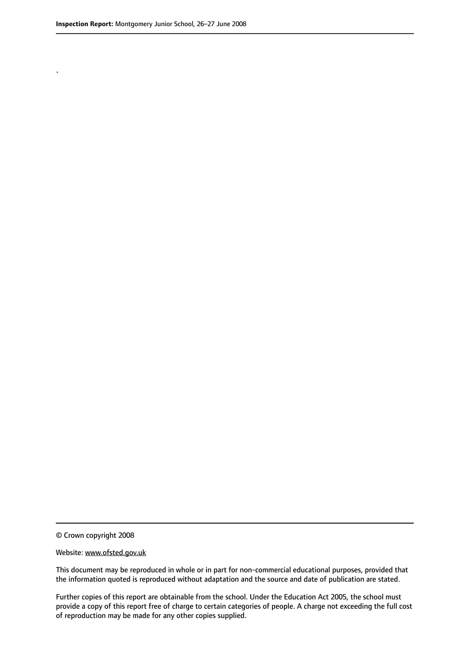.

© Crown copyright 2008

#### Website: www.ofsted.gov.uk

This document may be reproduced in whole or in part for non-commercial educational purposes, provided that the information quoted is reproduced without adaptation and the source and date of publication are stated.

Further copies of this report are obtainable from the school. Under the Education Act 2005, the school must provide a copy of this report free of charge to certain categories of people. A charge not exceeding the full cost of reproduction may be made for any other copies supplied.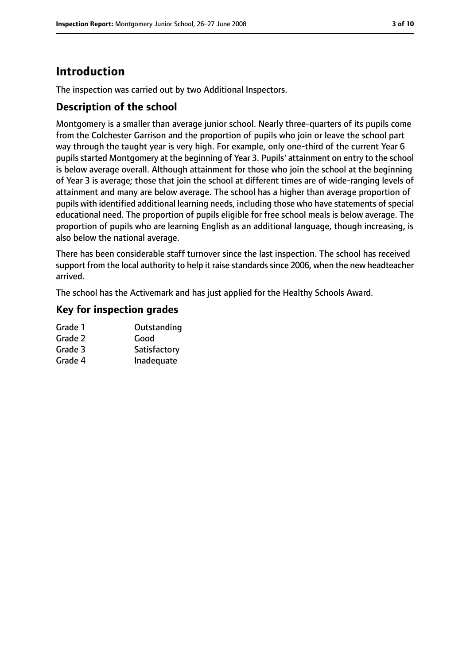# **Introduction**

The inspection was carried out by two Additional Inspectors.

## **Description of the school**

Montgomery is a smaller than average junior school. Nearly three-quarters of its pupils come from the Colchester Garrison and the proportion of pupils who join or leave the school part way through the taught year is very high. For example, only one-third of the current Year 6 pupils started Montgomery at the beginning of Year 3. Pupils' attainment on entry to the school is below average overall. Although attainment for those who join the school at the beginning of Year 3 is average; those that join the school at different times are of wide-ranging levels of attainment and many are below average. The school has a higher than average proportion of pupils with identified additional learning needs, including those who have statements of special educational need. The proportion of pupils eligible for free school meals is below average. The proportion of pupils who are learning English as an additional language, though increasing, is also below the national average.

There has been considerable staff turnover since the last inspection. The school has received support from the local authority to help it raise standards since 2006, when the new headteacher arrived.

The school has the Activemark and has just applied for the Healthy Schools Award.

## **Key for inspection grades**

| Grade 1 | Outstanding  |
|---------|--------------|
| Grade 2 | Good         |
| Grade 3 | Satisfactory |
| Grade 4 | Inadequate   |
|         |              |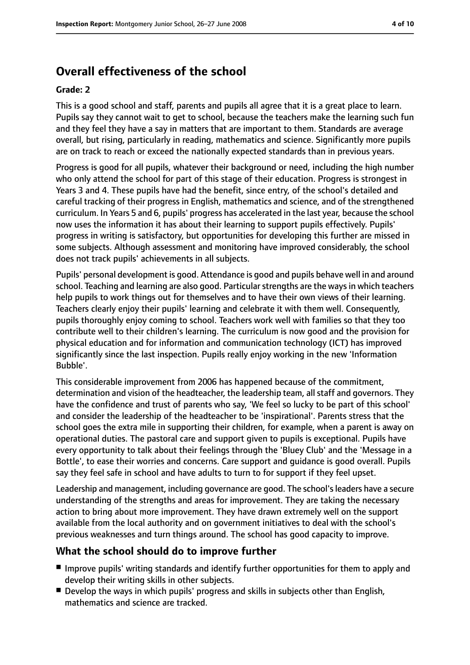# **Overall effectiveness of the school**

#### **Grade: 2**

This is a good school and staff, parents and pupils all agree that it is a great place to learn. Pupils say they cannot wait to get to school, because the teachers make the learning such fun and they feel they have a say in matters that are important to them. Standards are average overall, but rising, particularly in reading, mathematics and science. Significantly more pupils are on track to reach or exceed the nationally expected standards than in previous years.

Progress is good for all pupils, whatever their background or need, including the high number who only attend the school for part of this stage of their education. Progress is strongest in Years 3 and 4. These pupils have had the benefit, since entry, of the school's detailed and careful tracking of their progress in English, mathematics and science, and of the strengthened curriculum. In Years 5 and 6, pupils' progress has accelerated in the last year, because the school now uses the information it has about their learning to support pupils effectively. Pupils' progress in writing is satisfactory, but opportunities for developing this further are missed in some subjects. Although assessment and monitoring have improved considerably, the school does not track pupils' achievements in all subjects.

Pupils' personal development is good. Attendance is good and pupils behave well in and around school. Teaching and learning are also good. Particular strengths are the ways in which teachers help pupils to work things out for themselves and to have their own views of their learning. Teachers clearly enjoy their pupils' learning and celebrate it with them well. Consequently, pupils thoroughly enjoy coming to school. Teachers work well with families so that they too contribute well to their children's learning. The curriculum is now good and the provision for physical education and for information and communication technology (ICT) has improved significantly since the last inspection. Pupils really enjoy working in the new 'Information Bubble'.

This considerable improvement from 2006 has happened because of the commitment, determination and vision of the headteacher, the leadership team, all staff and governors. They have the confidence and trust of parents who say, 'We feel so lucky to be part of this school' and consider the leadership of the headteacher to be 'inspirational'. Parents stress that the school goes the extra mile in supporting their children, for example, when a parent is away on operational duties. The pastoral care and support given to pupils is exceptional. Pupils have every opportunity to talk about their feelings through the 'Bluey Club' and the 'Message in a Bottle', to ease their worries and concerns. Care support and guidance is good overall. Pupils say they feel safe in school and have adults to turn to for support if they feel upset.

Leadership and management, including governance are good. The school'sleaders have a secure understanding of the strengths and areas for improvement. They are taking the necessary action to bring about more improvement. They have drawn extremely well on the support available from the local authority and on government initiatives to deal with the school's previous weaknesses and turn things around. The school has good capacity to improve.

## **What the school should do to improve further**

- Improve pupils' writing standards and identify further opportunities for them to apply and develop their writing skills in other subjects.
- Develop the ways in which pupils' progress and skills in subjects other than English, mathematics and science are tracked.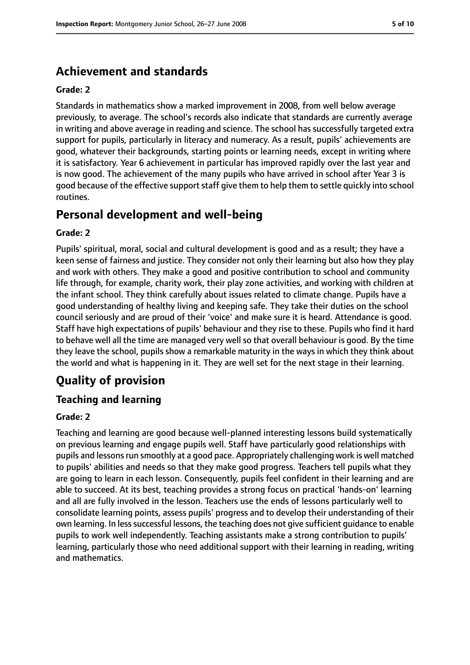# **Achievement and standards**

#### **Grade: 2**

Standards in mathematics show a marked improvement in 2008, from well below average previously, to average. The school's records also indicate that standards are currently average in writing and above average in reading and science. The school has successfully targeted extra support for pupils, particularly in literacy and numeracy. As a result, pupils' achievements are good, whatever their backgrounds, starting points or learning needs, except in writing where it is satisfactory. Year 6 achievement in particular has improved rapidly over the last year and is now good. The achievement of the many pupils who have arrived in school after Year 3 is good because of the effective support staff give them to help them to settle quickly into school routines.

# **Personal development and well-being**

#### **Grade: 2**

Pupils' spiritual, moral, social and cultural development is good and as a result; they have a keen sense of fairness and justice. They consider not only their learning but also how they play and work with others. They make a good and positive contribution to school and community life through, for example, charity work, their play zone activities, and working with children at the infant school. They think carefully about issues related to climate change. Pupils have a good understanding of healthy living and keeping safe. They take their duties on the school council seriously and are proud of their 'voice' and make sure it is heard. Attendance is good. Staff have high expectations of pupils' behaviour and they rise to these. Pupils who find it hard to behave well all the time are managed very well so that overall behaviour is good. By the time they leave the school, pupils show a remarkable maturity in the ways in which they think about the world and what is happening in it. They are well set for the next stage in their learning.

# **Quality of provision**

## **Teaching and learning**

#### **Grade: 2**

Teaching and learning are good because well-planned interesting lessons build systematically on previous learning and engage pupils well. Staff have particularly good relationships with pupils and lessons run smoothly at a good pace. Appropriately challenging work is well matched to pupils' abilities and needs so that they make good progress. Teachers tell pupils what they are going to learn in each lesson. Consequently, pupils feel confident in their learning and are able to succeed. At its best, teaching provides a strong focus on practical 'hands-on' learning and all are fully involved in the lesson. Teachers use the ends of lessons particularly well to consolidate learning points, assess pupils' progress and to develop their understanding of their own learning. In less successful lessons, the teaching does not give sufficient guidance to enable pupils to work well independently. Teaching assistants make a strong contribution to pupils' learning, particularly those who need additional support with their learning in reading, writing and mathematics.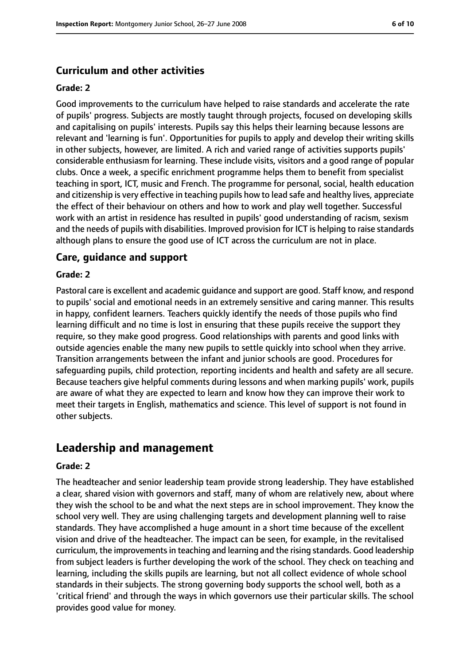#### **Curriculum and other activities**

#### **Grade: 2**

Good improvements to the curriculum have helped to raise standards and accelerate the rate of pupils' progress. Subjects are mostly taught through projects, focused on developing skills and capitalising on pupils' interests. Pupils say this helps their learning because lessons are relevant and 'learning is fun'. Opportunities for pupils to apply and develop their writing skills in other subjects, however, are limited. A rich and varied range of activities supports pupils' considerable enthusiasm for learning. These include visits, visitors and a good range of popular clubs. Once a week, a specific enrichment programme helps them to benefit from specialist teaching in sport, ICT, music and French. The programme for personal, social, health education and citizenship is very effective in teaching pupils how to lead safe and healthy lives, appreciate the effect of their behaviour on others and how to work and play well together. Successful work with an artist in residence has resulted in pupils' good understanding of racism, sexism and the needs of pupils with disabilities. Improved provision for ICT is helping to raise standards although plans to ensure the good use of ICT across the curriculum are not in place.

#### **Care, guidance and support**

#### **Grade: 2**

Pastoral care is excellent and academic guidance and support are good. Staff know, and respond to pupils' social and emotional needs in an extremely sensitive and caring manner. This results in happy, confident learners. Teachers quickly identify the needs of those pupils who find learning difficult and no time is lost in ensuring that these pupils receive the support they require, so they make good progress. Good relationships with parents and good links with outside agencies enable the many new pupils to settle quickly into school when they arrive. Transition arrangements between the infant and junior schools are good. Procedures for safeguarding pupils, child protection, reporting incidents and health and safety are all secure. Because teachers give helpful comments during lessons and when marking pupils' work, pupils are aware of what they are expected to learn and know how they can improve their work to meet their targets in English, mathematics and science. This level of support is not found in other subjects.

## **Leadership and management**

#### **Grade: 2**

The headteacher and senior leadership team provide strong leadership. They have established a clear, shared vision with governors and staff, many of whom are relatively new, about where they wish the school to be and what the next steps are in school improvement. They know the school very well. They are using challenging targets and development planning well to raise standards. They have accomplished a huge amount in a short time because of the excellent vision and drive of the headteacher. The impact can be seen, for example, in the revitalised curriculum, the improvements in teaching and learning and the rising standards. Good leadership from subject leaders is further developing the work of the school. They check on teaching and learning, including the skills pupils are learning, but not all collect evidence of whole school standards in their subjects. The strong governing body supports the school well, both as a 'critical friend' and through the ways in which governors use their particular skills. The school provides good value for money.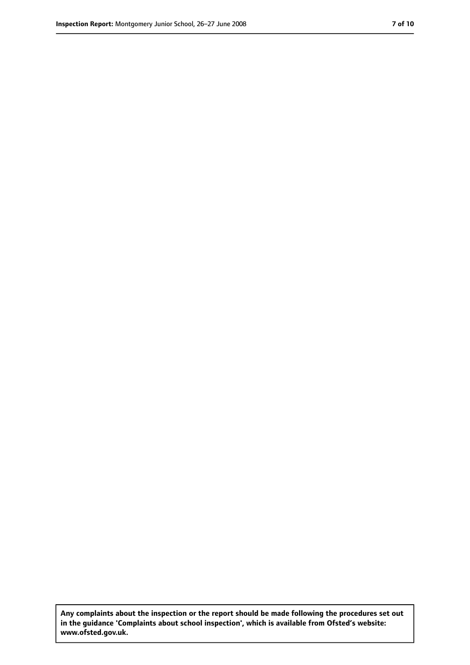**Any complaints about the inspection or the report should be made following the procedures set out in the guidance 'Complaints about school inspection', which is available from Ofsted's website: www.ofsted.gov.uk.**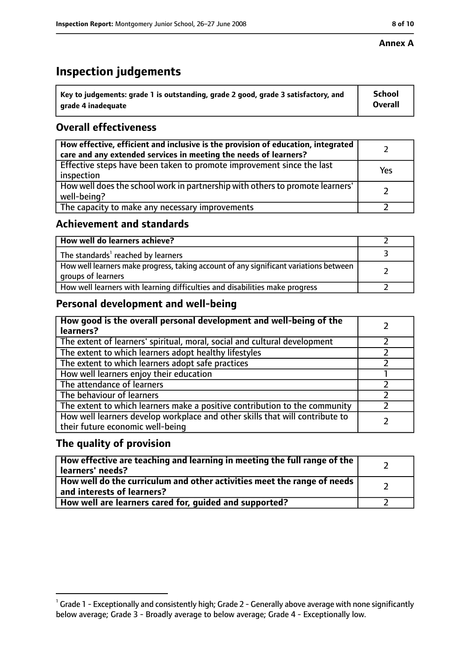#### **Annex A**

# **Inspection judgements**

| $^{\circ}$ Key to judgements: grade 1 is outstanding, grade 2 good, grade 3 satisfactory, and | <b>School</b>  |
|-----------------------------------------------------------------------------------------------|----------------|
| arade 4 inadeguate                                                                            | <b>Overall</b> |

# **Overall effectiveness**

| How effective, efficient and inclusive is the provision of education, integrated<br>care and any extended services in meeting the needs of learners? |     |
|------------------------------------------------------------------------------------------------------------------------------------------------------|-----|
| Effective steps have been taken to promote improvement since the last<br>inspection                                                                  | Yes |
| How well does the school work in partnership with others to promote learners'<br>well-being?                                                         |     |
| The capacity to make any necessary improvements                                                                                                      |     |

## **Achievement and standards**

| How well do learners achieve?                                                                               |  |
|-------------------------------------------------------------------------------------------------------------|--|
| The standards <sup>1</sup> reached by learners                                                              |  |
| How well learners make progress, taking account of any significant variations between<br>groups of learners |  |
| How well learners with learning difficulties and disabilities make progress                                 |  |

# **Personal development and well-being**

| How good is the overall personal development and well-being of the<br>learners?                                  |  |
|------------------------------------------------------------------------------------------------------------------|--|
| The extent of learners' spiritual, moral, social and cultural development                                        |  |
| The extent to which learners adopt healthy lifestyles                                                            |  |
| The extent to which learners adopt safe practices                                                                |  |
| How well learners enjoy their education                                                                          |  |
| The attendance of learners                                                                                       |  |
| The behaviour of learners                                                                                        |  |
| The extent to which learners make a positive contribution to the community                                       |  |
| How well learners develop workplace and other skills that will contribute to<br>their future economic well-being |  |

## **The quality of provision**

| How effective are teaching and learning in meeting the full range of the<br>learners' needs?                     |  |
|------------------------------------------------------------------------------------------------------------------|--|
| How well do the curriculum and other activities meet the range of needs<br>$^{\rm t}$ and interests of learners? |  |
| How well are learners cared for, guided and supported?                                                           |  |

 $^1$  Grade 1 - Exceptionally and consistently high; Grade 2 - Generally above average with none significantly below average; Grade 3 - Broadly average to below average; Grade 4 - Exceptionally low.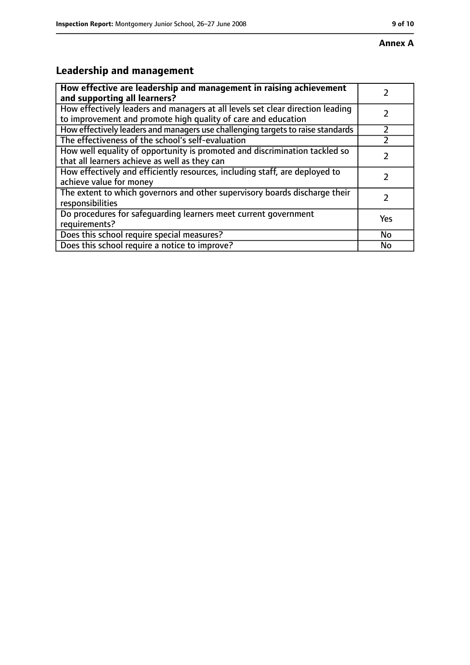# **Annex A**

# **Leadership and management**

| How effective are leadership and management in raising achievement<br>and supporting all learners?                                              |     |
|-------------------------------------------------------------------------------------------------------------------------------------------------|-----|
| How effectively leaders and managers at all levels set clear direction leading<br>to improvement and promote high quality of care and education |     |
| How effectively leaders and managers use challenging targets to raise standards                                                                 |     |
| The effectiveness of the school's self-evaluation                                                                                               |     |
| How well equality of opportunity is promoted and discrimination tackled so<br>that all learners achieve as well as they can                     |     |
| How effectively and efficiently resources, including staff, are deployed to<br>achieve value for money                                          | 7   |
| The extent to which governors and other supervisory boards discharge their<br>responsibilities                                                  | 7   |
| Do procedures for safequarding learners meet current government<br>requirements?                                                                | Yes |
| Does this school require special measures?                                                                                                      | No  |
| Does this school require a notice to improve?                                                                                                   | No  |